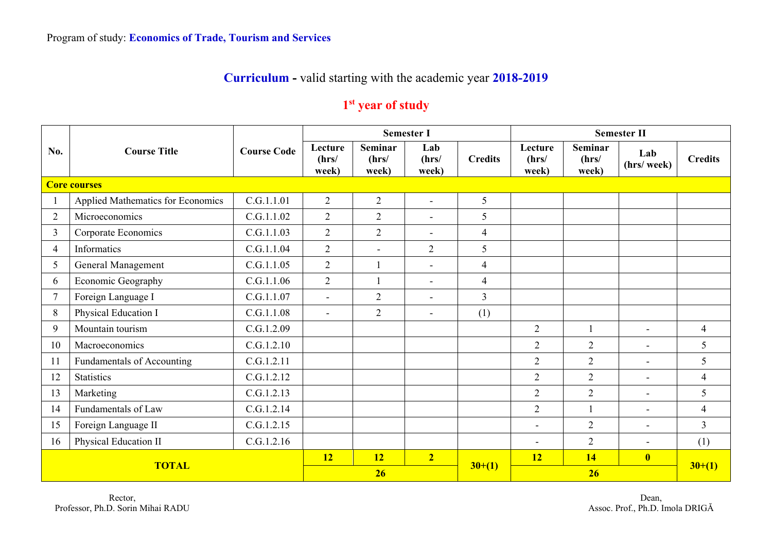## **Curriculum -** valid starting with the academic year **2018-2019**

## **1st year of study**

|                |                                   |                    |                           |                                  | <b>Semester I</b>        |                | <b>Semester II</b>        |                                  |                          |                |  |
|----------------|-----------------------------------|--------------------|---------------------------|----------------------------------|--------------------------|----------------|---------------------------|----------------------------------|--------------------------|----------------|--|
| No.            | <b>Course Title</b>               | <b>Course Code</b> | Lecture<br>(hrs/<br>week) | <b>Seminar</b><br>(hrs/<br>week) | Lab<br>(hrs/<br>week)    | <b>Credits</b> | Lecture<br>(hrs/<br>week) | <b>Seminar</b><br>(hrs/<br>week) | Lab<br>(hrs/week)        | <b>Credits</b> |  |
|                | <b>Core courses</b>               |                    |                           |                                  |                          |                |                           |                                  |                          |                |  |
|                | Applied Mathematics for Economics | C.G.1.1.01         | $\overline{2}$            | $\overline{2}$                   | $\sim$                   | 5              |                           |                                  |                          |                |  |
| $\overline{2}$ | Microeconomics                    | C.G.1.1.02         | $\overline{2}$            | $\overline{2}$                   | $\sim$                   | 5              |                           |                                  |                          |                |  |
| $\overline{3}$ | Corporate Economics               | C.G.1.1.03         | $\overline{2}$            | $\overline{2}$                   | $\overline{\phantom{a}}$ | $\overline{4}$ |                           |                                  |                          |                |  |
| 4              | Informatics                       | C.G.1.1.04         | $\overline{2}$            | $\blacksquare$                   | $\overline{2}$           | 5              |                           |                                  |                          |                |  |
| 5              | General Management                | C.G.1.1.05         | $\overline{2}$            |                                  | $\equiv$                 | $\overline{4}$ |                           |                                  |                          |                |  |
| 6              | Economic Geography                | C.G.1.1.06         | $\overline{2}$            | $\overline{1}$                   | $\blacksquare$           | $\overline{4}$ |                           |                                  |                          |                |  |
| $\tau$         | Foreign Language I                | C.G.1.1.07         | $\overline{a}$            | $\overline{2}$                   | $\blacksquare$           | $\overline{3}$ |                           |                                  |                          |                |  |
| 8              | Physical Education I              | C.G.1.1.08         | $\blacksquare$            | $\overline{2}$                   | $\equiv$                 | (1)            |                           |                                  |                          |                |  |
| 9              | Mountain tourism                  | C.G.1.2.09         |                           |                                  |                          |                | $\overline{2}$            |                                  | $\blacksquare$           | $\overline{4}$ |  |
| 10             | Macroeconomics                    | C.G.1.2.10         |                           |                                  |                          |                | $\overline{2}$            | $\overline{2}$                   | $\blacksquare$           | 5 <sup>5</sup> |  |
| 11             | Fundamentals of Accounting        | C.G.1.2.11         |                           |                                  |                          |                | $\overline{2}$            | $\overline{2}$                   | $\blacksquare$           | 5              |  |
| 12             | <b>Statistics</b>                 | C.G.1.2.12         |                           |                                  |                          |                | $\overline{2}$            | $\overline{2}$                   | $\overline{\phantom{0}}$ | $\overline{4}$ |  |
| 13             | Marketing                         | C.G.1.2.13         |                           |                                  |                          |                | $\overline{2}$            | $\overline{2}$                   | $\blacksquare$           | 5              |  |
| 14             | Fundamentals of Law               | C.G.1.2.14         |                           |                                  |                          |                | $\mathbf{2}$              |                                  | $\blacksquare$           | $\overline{4}$ |  |
| 15             | Foreign Language II               | C.G.1.2.15         |                           |                                  |                          |                |                           | $\overline{2}$                   | $\blacksquare$           | $\overline{3}$ |  |
| 16             | Physical Education II             | C.G.1.2.16         |                           |                                  |                          |                | $\overline{\phantom{a}}$  | $\overline{2}$                   | $\blacksquare$           | (1)            |  |
| <b>TOTAL</b>   |                                   |                    | <b>12</b>                 | 12                               | $\overline{2}$           |                | 12                        | 14                               | $\overline{\mathbf{0}}$  |                |  |
|                |                                   |                    | 26                        |                                  |                          | $30+(1)$       |                           | $30+(1)$                         |                          |                |  |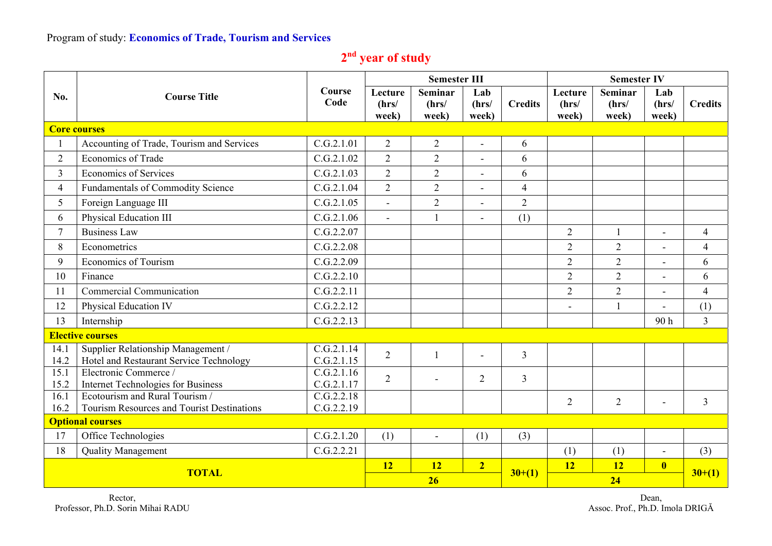## Program of study: **Economics of Trade, Tourism and Services**

| 2 <sup>nd</sup> year of study |  |  |
|-------------------------------|--|--|
|                               |  |  |

|                | <b>Course Title</b>                                                           |                          |                           | <b>Semester III</b>              |                          |                | <b>Semester IV</b>        |                                  |                          |                |
|----------------|-------------------------------------------------------------------------------|--------------------------|---------------------------|----------------------------------|--------------------------|----------------|---------------------------|----------------------------------|--------------------------|----------------|
| No.            |                                                                               | Course<br>Code           | Lecture<br>(hrs/<br>week) | <b>Seminar</b><br>(hrs/<br>week) | Lab<br>(hrs/<br>week)    | <b>Credits</b> | Lecture<br>(hrs/<br>week) | <b>Seminar</b><br>(hrs/<br>week) | Lab<br>(hrs/<br>week)    | <b>Credits</b> |
|                | <b>Core courses</b>                                                           |                          |                           |                                  |                          |                |                           |                                  |                          |                |
|                | Accounting of Trade, Tourism and Services                                     | C.G.2.1.01               | $\overline{2}$            | $\overline{2}$                   | ÷,                       | 6              |                           |                                  |                          |                |
| $\overline{2}$ | <b>Economics of Trade</b>                                                     | C.G.2.1.02               | $\overline{2}$            | $\overline{2}$                   |                          | 6              |                           |                                  |                          |                |
| $\overline{3}$ | <b>Economics of Services</b>                                                  | C.G.2.1.03               | $\overline{2}$            | $\overline{2}$                   | $\overline{\phantom{0}}$ | 6              |                           |                                  |                          |                |
| $\overline{4}$ | Fundamentals of Commodity Science                                             | C.G.2.1.04               | $\overline{2}$            | $\overline{2}$                   | $\blacksquare$           | $\overline{4}$ |                           |                                  |                          |                |
| 5              | Foreign Language III                                                          | C.G.2.1.05               |                           | $\overline{2}$                   |                          | $\overline{2}$ |                           |                                  |                          |                |
| 6              | Physical Education III                                                        | C.G.2.1.06               | $\sim$                    | $\mathbf{1}$                     | $\blacksquare$           | (1)            |                           |                                  |                          |                |
| $\tau$         | <b>Business Law</b>                                                           | C.G.2.2.07               |                           |                                  |                          |                | $\overline{2}$            |                                  | $\overline{\phantom{a}}$ | $\overline{4}$ |
| 8              | Econometrics                                                                  | C.G.2.2.08               |                           |                                  |                          |                | $\overline{2}$            | $\overline{2}$                   |                          | $\overline{4}$ |
| 9              | <b>Economics of Tourism</b>                                                   | C.G.2.2.09               |                           |                                  |                          |                | $\overline{2}$            | $\overline{2}$                   | ÷,                       | 6              |
| 10             | Finance                                                                       | C.G.2.2.10               |                           |                                  |                          |                | $\overline{2}$            | $\overline{2}$                   | $\overline{a}$           | 6              |
| 11             | Commercial Communication                                                      | C.G.2.2.11               |                           |                                  |                          |                | $\overline{2}$            | $\overline{2}$                   |                          | $\overline{4}$ |
| 12             | Physical Education IV                                                         | C.G.2.2.12               |                           |                                  |                          |                | L,                        | $\mathbf{1}$                     | $\blacksquare$           | (1)            |
| 13             | Internship                                                                    | C.G.2.2.13               |                           |                                  |                          |                |                           |                                  | 90 h                     | $\overline{3}$ |
|                | <b>Elective courses</b>                                                       |                          |                           |                                  |                          |                |                           |                                  |                          |                |
| 14.1<br>14.2   | Supplier Relationship Management /<br>Hotel and Restaurant Service Technology | C.G.2.1.14<br>C.G.2.1.15 | $\overline{2}$            | $\mathbf{1}$                     |                          | $\overline{3}$ |                           |                                  |                          |                |
| 15.1<br>15.2   | Electronic Commerce /<br>Internet Technologies for Business                   | C.G.2.1.16<br>C.G.2.1.17 | $\overline{2}$            |                                  | $\overline{2}$           | $\overline{3}$ |                           |                                  |                          |                |
| 16.1           | Ecotourism and Rural Tourism /                                                | C.G.2.2.18               |                           |                                  |                          |                | $\overline{2}$            | $\overline{2}$                   | $\blacksquare$           | $\overline{3}$ |
| 16.2           | Tourism Resources and Tourist Destinations                                    | C.G.2.2.19               |                           |                                  |                          |                |                           |                                  |                          |                |
|                | <b>Optional courses</b>                                                       |                          |                           |                                  |                          |                |                           |                                  |                          |                |
| 17             | Office Technologies                                                           | C.G.2.1.20               | (1)                       | $\overline{\phantom{a}}$         | (1)                      | (3)            |                           |                                  |                          |                |
| 18             | <b>Quality Management</b>                                                     | C.G.2.2.21               | 12                        |                                  |                          |                | (1)                       | (1)                              | $\overline{\phantom{a}}$ | (3)            |
|                | <b>TOTAL</b>                                                                  |                          |                           | <b>12</b>                        | $\overline{2}$           | $30+(1)$       | <b>12</b>                 | 12                               | $\overline{\mathbf{0}}$  | $30+(1)$       |
|                |                                                                               |                          |                           | 26                               |                          |                | 24                        |                                  |                          |                |